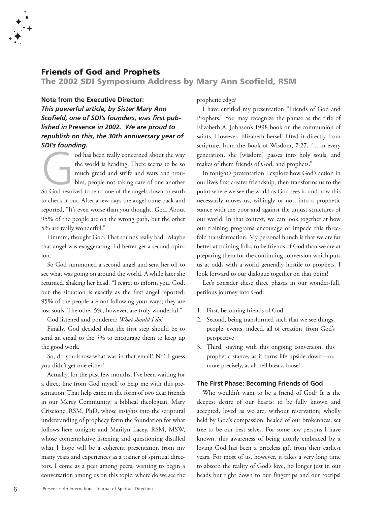

The 2002 SDI Symposium Address by Mary Ann Scofield, RSM

**Note from the Executive Director:**  *This powerful article, by Sister Mary Ann Scofield, one of SDI's founders, was first published in* **Presence** *in 2002. We are proud to republish on this, the 30th anniversary year of SDI's founding.*

od has been really concerned about the way<br>the world is heading. There seems to be so<br>much greed and strife and wars and trou-<br>bles, people not taking care of one another<br>So God resolved to send one of the angels down to e od has been really concerned about the way the world is heading. There seems to be so much greed and strife and wars and troubles, people not taking care of one another to check it out. After a few days the angel came back and reported, "It's even worse than you thought, God. About 95% of the people are on the wrong path, but the other 5% are really wonderful."

Hmmm, thought God. That sounds really bad. Maybe that angel was exaggerating. I'd better get a second opinion.

So God summoned a second angel and sent her off to see what was going on around the world. A while later she returned, shaking her head. "I regret to inform you, God, but the situation is exactly as the first angel reported: 95% of the people are not following your ways; they are lost souls. The other 5%, however, are truly wonderful."

God listened and pondered: *What should I do?*

Finally, God decided that the first step should be to send an email to the 5% to encourage them to keep up the good work.

So, do you know what was in that email? No? I guess you didn't get one either!

Actually, for the past few months, I've been waiting for a direct line from God myself to help me with this presentation! That help came in the form of two dear friends in our Mercy Community: a biblical theologian, Mary Criscione, RSM, PhD, whose insights into the scriptural understanding of prophecy form the foundation for what follows here tonight; and Marilyn Lacey, RSM, MSW, whose contemplative listening and questioning distilled what I hope will be a coherent presentation from my many years and experiences as a trainer of spiritual directors. I come as a peer among peers, wanting to begin a conversation among us on this topic: where do we see the prophetic edge?

I have entitled my presentation "Friends of God and Prophets." You may recognize the phrase as the title of Elizabeth A. Johnson's 1998 book on the communion of saints. However, Elizabeth herself lifted it directly from scripture, from the Book of Wisdom, 7:27, "... in every generation, she [wisdom] passes into holy souls, and makes of them friends of God, and prophets."

In tonight's presentation I explore how God's action in our lives first creates friendship, then transforms us to the point where we see the world as God sees it, and how this necessarily moves us, willingly or not, into a prophetic stance with the poor and against the unjust structures of our world. In that context, we can look together at how our training programs encourage or impede this threefold transformation. My personal hunch is that we are far better at training folks to be friends of God than we are at preparing them for the continuing conversion which puts us at odds with a world generally hostile to prophets. I look forward to our dialogue together on that point!

Let's consider these three phases in our wonder-full, perilous journey into God:

- 1. First, becoming friends of God
- 2. Second, being transformed such that we see things, people, events, indeed, all of creation, from God's perspective
- 3. Third, staying with this ongoing conversion, this prophetic stance, as it turns life upside down—or, more precisely, as all hell breaks loose!

## **The First Phase: Becoming Friends of God**

Who wouldn't want to be a friend of God? It is the deepest desire of our hearts: to be fully known and accepted, loved as we are, without reservation; wholly held by God's compassion, healed of our brokenness, set free to be our best selves. For some few persons I have known, this awareness of being utterly embraced by a loving God has been a priceless gift from their earliest years. For most of us, however, it takes a very long time to absorb the reality of God's love, no longer just in our heads but right down to our fingertips and our toetips!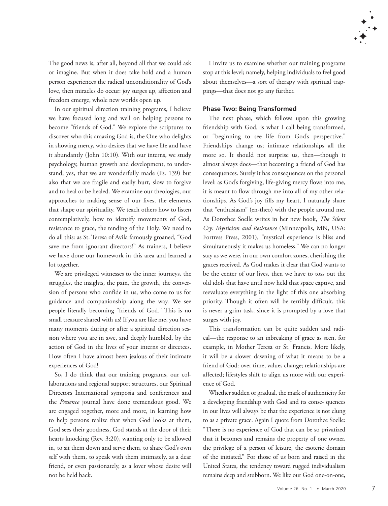

The good news is, after all, beyond all that we could ask or imagine. But when it does take hold and a human person experiences the radical unconditionality of God's love, then miracles do occur: joy surges up, affection and freedom emerge, whole new worlds open up.

In our spiritual direction training programs, I believe we have focused long and well on helping persons to become "friends of God." We explore the scriptures to discover who this amazing God is, the One who delights in showing mercy, who desires that we have life and have it abundantly (John 10:10). With our interns, we study psychology, human growth and development, to understand, yes, that we are wonderfully made (Ps. 139) but also that we are fragile and easily hurt, slow to forgive and to heal or be healed. We examine our theologies, our approaches to making sense of our lives, the elements that shape our spirituality. We teach others how to listen contemplatively, how to identify movements of God, resistance to grace, the tending of the Holy. We need to do all this: as St. Teresa of Avila famously groaned, "God save me from ignorant directors!" As trainers, I believe we have done our homework in this area and learned a lot together.

We are privileged witnesses to the inner journeys, the struggles, the insights, the pain, the growth, the conversion of persons who confide in us, who come to us for guidance and companionship along the way. We see people literally becoming "friends of God." This is no small treasure shared with us! If you are like me, you have many moments during or after a spiritual direction session where you are in awe, and deeply humbled, by the action of God in the lives of your interns or directees. How often I have almost been jealous of their intimate experiences of God!

So, I do think that our training programs, our collaborations and regional support structures, our Spiritual Directors International symposia and conferences and the *Presence* journal have done tremendous good. We are engaged together, more and more, in learning how to help persons realize that when God looks at them, God sees their goodness, God stands at the door of their hearts knocking (Rev. 3:20), wanting only to be allowed in, to sit them down and serve them, to share God's own self with them, to speak with them intimately, as a dear friend, or even passionately, as a lover whose desire will not be held back.

I invite us to examine whether our training programs stop at this level; namely, helping individuals to feel good about themselves—a sort of therapy with spiritual trappings—that does not go any further.

## **Phase Two: Being Transformed**

The next phase, which follows upon this growing friendship with God, is what I call being transformed, or "beginning to see life from God's perspective." Friendships change us; intimate relationships all the more so. It should not surprise us, then—though it almost always does—that becoming a friend of God has consequences. Surely it has consequences on the personal level: as God's forgiving, life-giving mercy flows into me, it is meant to flow through me into all of my other relationships. As God's joy fills my heart, I naturally share that "enthusiasm" (en-theo) with the people around me. As Dorothee Soelle writes in her new book, *The Silent Cry: Mysticism and Resistance* (Minneapolis, MN, USA: Fortress Press, 2001), "mystical experience is bliss and simultaneously it makes us homeless." We can no longer stay as we were, in our own comfort zones, cherishing the graces received. As God makes it clear that God wants to be the center of our lives, then we have to toss out the old idols that have until now held that space captive, and reevaluate everything in the light of this one absorbing priority. Though it often will be terribly difficult, this is never a grim task, since it is prompted by a love that surges with joy.

This transformation can be quite sudden and radical—the response to an inbreaking of grace as seen, for example, in Mother Teresa or St. Francis. More likely, it will be a slower dawning of what it means to be a friend of God: over time, values change; relationships are affected; lifestyles shift to align us more with our experience of God.

Whether sudden or gradual, the mark of authenticity for a developing friendship with God and its conse- quences in our lives will always be that the experience is not clung to as a private grace. Again I quote from Dorothee Soelle: "There is no experience of God that can be so privatized that it becomes and remains the property of one owner, the privilege of a person of leisure, the esoteric domain of the initiated." For those of us born and raised in the United States, the tendency toward rugged individualism remains deep and stubborn. We like our God one-on-one,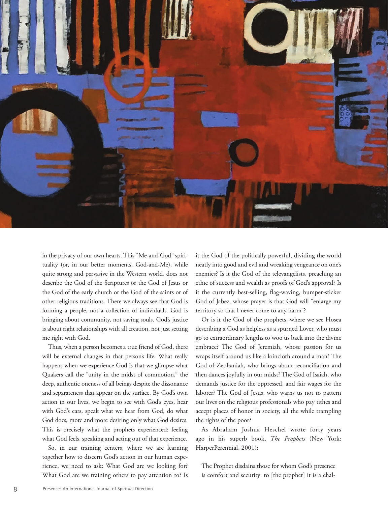

in the privacy of our own hearts. This "Me-and-God" spirituality (or, in our better moments, God-and-Me), while quite strong and pervasive in the Western world, does not describe the God of the Scriptures or the God of Jesus or the God of the early church or the God of the saints or of other religious traditions. There we always see that God is forming a people, not a collection of individuals. God is bringing about community, not saving souls. God's justice is about right relationships with all creation, not just setting me right with God.

Thus, when a person becomes a true friend of God, there will be external changes in that person's life. What really happens when we experience God is that we glimpse what Quakers call the "unity in the midst of commotion," the deep, authentic oneness of all beings despite the dissonance and separateness that appear on the surface. By God's own action in our lives, we begin to see with God's eyes, hear with God's ears, speak what we hear from God, do what God does, more and more desiring only what God desires. This is precisely what the prophets experienced: feeling what God feels, speaking and acting out of that experience.

So, in our training centers, where we are learning together how to discern God's action in our human experience, we need to ask: What God are we looking for? What God are we training others to pay attention to? Is it the God of the politically powerful, dividing the world neatly into good and evil and wreaking vengeance on one's enemies? Is it the God of the televangelists, preaching an ethic of success and wealth as proofs of God's approval? Is it the currently best-selling, flag-waving, bumper-sticker God of Jabez, whose prayer is that God will "enlarge my territory so that I never come to any harm"?

Or is it the God of the prophets, where we see Hosea describing a God as helpless as a spurned Lover, who must go to extraordinary lengths to woo us back into the divine embrace? The God of Jeremiah, whose passion for us wraps itself around us like a loincloth around a man? The God of Zephaniah, who brings about reconciliation and then dances joyfully in our midst? The God of Isaiah, who demands justice for the oppressed, and fair wages for the laborer? The God of Jesus, who warns us not to pattern our lives on the religious professionals who pay tithes and accept places of honor in society, all the while trampling the rights of the poor?

As Abraham Joshua Heschel wrote forty years ago in his superb book, *The Prophets* (New York: HarperPerennial, 2001):

The Prophet disdains those for whom God's presence is comfort and security: to [the prophet] it is a chal-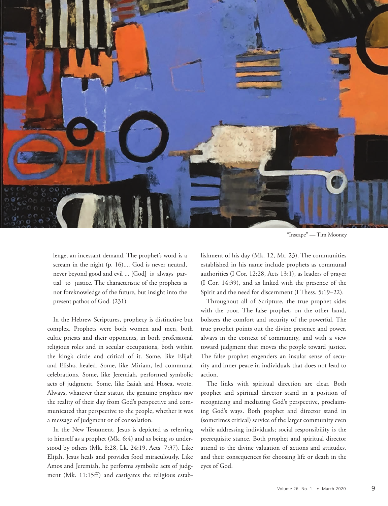

"Inscape" — Tim Mooney

lenge, an incessant demand. The prophet's word is a scream in the night (p. 16).... God is never neutral, never beyond good and evil ... [God] is always partial to justice. The characteristic of the prophets is not foreknowledge of the future, but insight into the present pathos of God. (231)

In the Hebrew Scriptures, prophecy is distinctive but complex. Prophets were both women and men, both cultic priests and their opponents, in both professional religious roles and in secular occupations, both within the king's circle and critical of it. Some, like Elijah and Elisha, healed. Some, like Miriam, led communal celebrations. Some, like Jeremiah, performed symbolic acts of judgment. Some, like Isaiah and Hosea, wrote. Always, whatever their status, the genuine prophets saw the reality of their day from God's perspective and communicated that perspective to the people, whether it was a message of judgment or of consolation.

In the New Testament, Jesus is depicted as referring to himself as a prophet (Mk. 6:4) and as being so understood by others (Mk. 8:28, Lk. 24:19, Acts 7:37). Like Elijah, Jesus heals and provides food miraculously. Like Amos and Jeremiah, he performs symbolic acts of judgment (Mk. 11:15ff) and castigates the religious establishment of his day (Mk. 12, Mt. 23). The communities established in his name include prophets as communal authorities (I Cor. 12:28, Acts 13:1), as leaders of prayer (I Cor. 14:39), and as linked with the presence of the Spirit and the need for discernment (I Thess. 5:19–22).

Throughout all of Scripture, the true prophet sides with the poor. The false prophet, on the other hand, bolsters the comfort and security of the powerful. The true prophet points out the divine presence and power, always in the context of community, and with a view toward judgment that moves the people toward justice. The false prophet engenders an insular sense of security and inner peace in individuals that does not lead to action.

The links with spiritual direction are clear. Both prophet and spiritual director stand in a position of recognizing and mediating God's perspective, proclaiming God's ways. Both prophet and director stand in (sometimes critical) service of the larger community even while addressing individuals; social responsibility is the prerequisite stance. Both prophet and spiritual director attend to the divine valuation of actions and attitudes, and their consequences for choosing life or death in the eyes of God.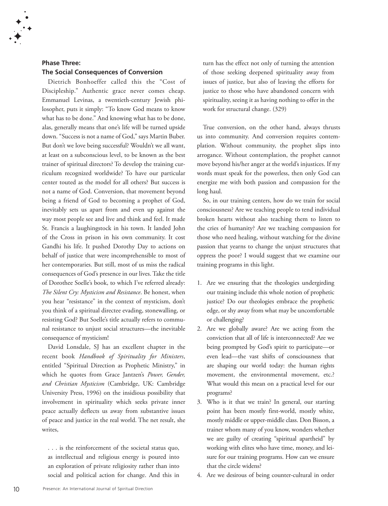## **Phase Three: The Social Consequences of Conversion**

Dietrich Bonhoeffer called this the "Cost of Discipleship." Authentic grace never comes cheap. Emmanuel Levinas, a twentieth-century Jewish philosopher, puts it simply: "To know God means to know what has to be done." And knowing what has to be done, alas, generally means that one's life will be turned upside down. "Success is not a name of God," says Martin Buber. But don't we love being successful? Wouldn't we all want, at least on a subconscious level, to be known as the best trainer of spiritual directors? To develop the training curriculum recognized worldwide? To have our particular center touted as the model for all others? But success is not a name of God. Conversion, that movement beyond being a friend of God to becoming a prophet of God, inevitably sets us apart from and even up against the way most people see and live and think and feel. It made St. Francis a laughingstock in his town. It landed John of the Cross in prison in his own community. It cost Gandhi his life. It pushed Dorothy Day to actions on behalf of justice that were incomprehensible to most of her contemporaries. But still, most of us miss the radical consequences of God's presence in our lives. Take the title of Dorothee Soelle's book, to which I've referred already: *The Silent Cry: Mysticism and Resistance*. Be honest, when you hear "resistance" in the context of mysticism, don't you think of a spiritual directee evading, stonewalling, or resisting God? But Soelle's title actually refers to communal resistance to unjust social structures—the inevitable consequence of mysticism!

David Lonsdale, SJ has an excellent chapter in the recent book *Handbook of Spirituality for Ministers*, entitled "Spiritual Direction as Prophetic Ministry," in which he quotes from Grace Jantzen's *Power, Gender, and Christian Mysticism* (Cambridge, UK: Cambridge University Press, 1996) on the insidious possibility that involvement in spirituality which seeks private inner peace actually deflects us away from substantive issues of peace and justice in the real world. The net result, she writes,

. . . is the reinforcement of the societal status quo, as intellectual and religious energy is poured into an exploration of private religiosity rather than into social and political action for change. And this in

turn has the effect not only of turning the attention of those seeking deepened spirituality away from issues of justice, but also of leaving the efforts for justice to those who have abandoned concern with spirituality, seeing it as having nothing to offer in the work for structural change. (329)

True conversion, on the other hand, always thrusts us into community. And conversion requires contemplation. Without community, the prophet slips into arrogance. Without contemplation, the prophet cannot move beyond his/her anger at the world's injustices. If my words must speak for the powerless, then only God can energize me with both passion and compassion for the long haul.

So, in our training centers, how do we train for social consciousness? Are we teaching people to tend individual broken hearts without also teaching them to listen to the cries of humanity? Are we teaching compassion for those who need healing, without watching for the divine passion that yearns to change the unjust structures that oppress the poor? I would suggest that we examine our training programs in this light.

- 1. Are we ensuring that the theologies undergirding our training include this whole notion of prophetic justice? Do our theologies embrace the prophetic edge, or shy away from what may be uncomfortable or challenging?
- 2. Are we globally aware? Are we acting from the conviction that all of life is interconnected? Are we being prompted by God's spirit to participate—or even lead—the vast shifts of consciousness that are shaping our world today: the human rights movement, the environmental movement, etc.? What would this mean on a practical level for our programs?
- 3. Who is it that we train? In general, our starting point has been mostly first-world, mostly white, mostly middle or upper-middle class. Don Bisson, a trainer whom many of you know, wonders whether we are guilty of creating "spiritual apartheid" by working with elites who have time, money, and leisure for our training programs. How can we ensure that the circle widens?
- 4. Are we desirous of being counter-cultural in order